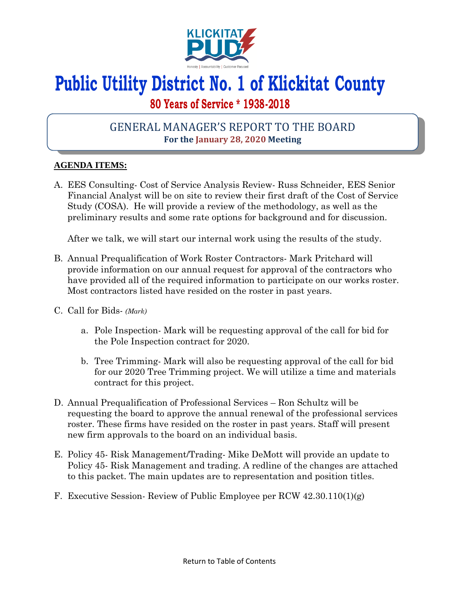

# **Public Utility District No. 1 of Klickitat County**

## **80 Years of Service \* 1938-2018**

## GENERAL MANAGER'S REPORT TO THE BOARD **For the January 28, 2020 Meeting**

### **AGENDA ITEMS:**

A. EES Consulting- Cost of Service Analysis Review- Russ Schneider, EES Senior Financial Analyst will be on site to review their first draft of the Cost of Service Study (COSA). He will provide a review of the methodology, as well as the preliminary results and some rate options for background and for discussion.

After we talk, we will start our internal work using the results of the study.

- B. Annual Prequalification of Work Roster Contractors- Mark Pritchard will provide information on our annual request for approval of the contractors who have provided all of the required information to participate on our works roster. Most contractors listed have resided on the roster in past years.
- C. Call for Bids- *(Mark)*
	- a. Pole Inspection- Mark will be requesting approval of the call for bid for the Pole Inspection contract for 2020.
	- b. Tree Trimming- Mark will also be requesting approval of the call for bid for our 2020 Tree Trimming project. We will utilize a time and materials contract for this project.
- D. Annual Prequalification of Professional Services Ron Schultz will be requesting the board to approve the annual renewal of the professional services roster. These firms have resided on the roster in past years. Staff will present new firm approvals to the board on an individual basis.
- E. Policy 45- Risk Management/Trading- Mike DeMott will provide an update to Policy 45- Risk Management and trading. A redline of the changes are attached to this packet. The main updates are to representation and position titles.
- F. Executive Session- Review of Public Employee per RCW 42.30.110(1)(g)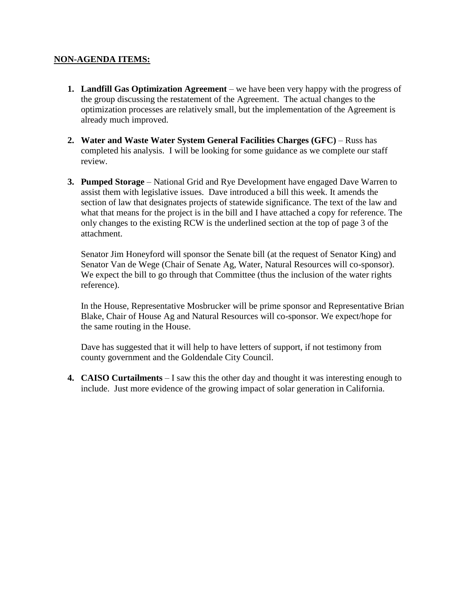#### **NON-AGENDA ITEMS:**

- **1. Landfill Gas Optimization Agreement**  we have been very happy with the progress of the group discussing the restatement of the Agreement. The actual changes to the optimization processes are relatively small, but the implementation of the Agreement is already much improved.
- **2. Water and Waste Water System General Facilities Charges (GFC)** Russ has completed his analysis. I will be looking for some guidance as we complete our staff review.
- **3. Pumped Storage** National Grid and Rye Development have engaged Dave Warren to assist them with legislative issues. Dave introduced a bill this week. It amends the section of law that designates projects of statewide significance. The text of the law and what that means for the project is in the bill and I have attached a copy for reference. The only changes to the existing RCW is the underlined section at the top of page 3 of the attachment.

Senator Jim Honeyford will sponsor the Senate bill (at the request of Senator King) and Senator Van de Wege (Chair of Senate Ag, Water, Natural Resources will co-sponsor). We expect the bill to go through that Committee (thus the inclusion of the water rights reference).

In the House, Representative Mosbrucker will be prime sponsor and Representative Brian Blake, Chair of House Ag and Natural Resources will co-sponsor. We expect/hope for the same routing in the House.

Dave has suggested that it will help to have letters of support, if not testimony from county government and the Goldendale City Council.

**4. CAISO Curtailments** – I saw this the other day and thought it was interesting enough to include. Just more evidence of the growing impact of solar generation in California.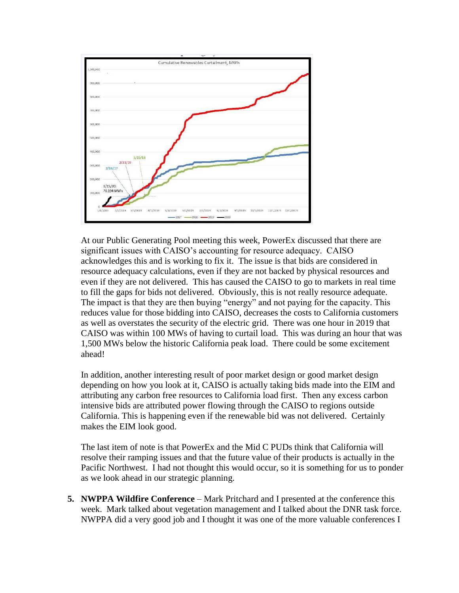

At our Public Generating Pool meeting this week, PowerEx discussed that there are significant issues with CAISO's accounting for resource adequacy. CAISO acknowledges this and is working to fix it. The issue is that bids are considered in resource adequacy calculations, even if they are not backed by physical resources and even if they are not delivered. This has caused the CAISO to go to markets in real time to fill the gaps for bids not delivered. Obviously, this is not really resource adequate. The impact is that they are then buying "energy" and not paying for the capacity. This reduces value for those bidding into CAISO, decreases the costs to California customers as well as overstates the security of the electric grid. There was one hour in 2019 that CAISO was within 100 MWs of having to curtail load. This was during an hour that was 1,500 MWs below the historic California peak load. There could be some excitement ahead!

In addition, another interesting result of poor market design or good market design depending on how you look at it, CAISO is actually taking bids made into the EIM and attributing any carbon free resources to California load first. Then any excess carbon intensive bids are attributed power flowing through the CAISO to regions outside California. This is happening even if the renewable bid was not delivered. Certainly makes the EIM look good.

The last item of note is that PowerEx and the Mid C PUDs think that California will resolve their ramping issues and that the future value of their products is actually in the Pacific Northwest. I had not thought this would occur, so it is something for us to ponder as we look ahead in our strategic planning.

**5. NWPPA Wildfire Conference** – Mark Pritchard and I presented at the conference this week. Mark talked about vegetation management and I talked about the DNR task force. NWPPA did a very good job and I thought it was one of the more valuable conferences I